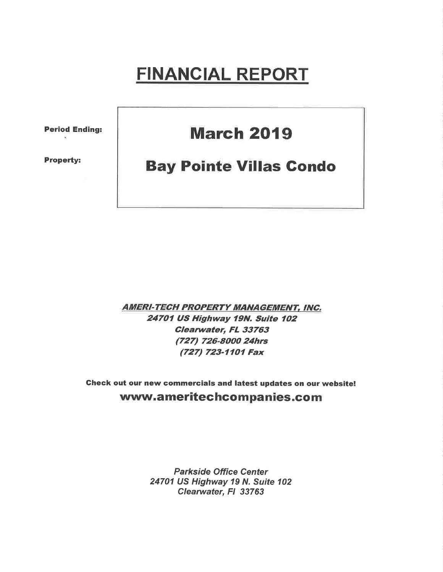# FINANCIAL REPORT

Period Ending:

Property:

## **March 2019**

## **Bay Pointe Villas Condo**

**AMERI-TECH PROPERTY MANAGEMENT, INC.** 24701 US Highway 19N. Suite 102 Clearwater, FL 33763 (727) 726-8000 24hrs (727) 723-17O7 Fax

Gheck out our new commercials and latest updates on our website! www.ameritechcompanies.com

> Parkside Office Center 24701 US Highway 19 N. Suite 102 Clearwater, FI 33763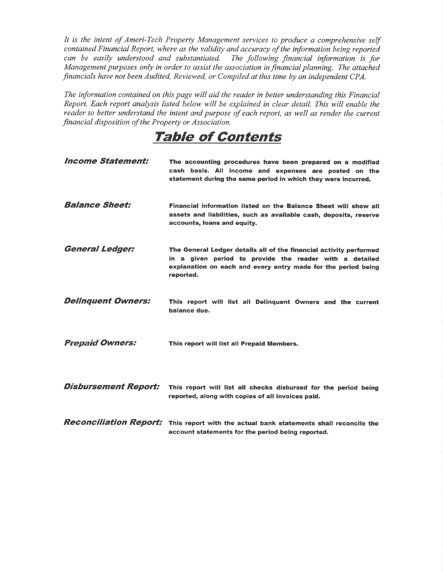It is the intent of Ameri-Tech Property Management services to produce a comprehensive self contained Financial Report, where as the validity and accuracy of the information being reported can be easily understood and substantiated. The following financial information is for Management purposes only in order to assist the association in financial planning. The attached financials have not been Audited, Reviewed, or Compiled at this time by an independent CPA.

The information contained on this page will aid the reader in better understanding this Financial Report. Each report analysis listed below will be explained in clear detail. This will enable the reader to better understand the intent and purpose of each report, as well as render the current financial disposition of the Property or Association.

### TaþIe of Contents

| <i><b>Income Statement:</b></i> | The accounting procedures have been prepared on a modified<br>cash basis. All income and expenses are posted on the<br>statement during the same period in which they were incurred.                        |
|---------------------------------|-------------------------------------------------------------------------------------------------------------------------------------------------------------------------------------------------------------|
| <b>Balance Sheet:</b>           | Financial information listed on the Balance Sheet will show all<br>assets and liabilities, such as available cash, deposits, reserve<br>accounts, loans and equity.                                         |
| <b>General Ledger:</b>          | The General Ledger details all of the financial activity performed<br>in a given period to provide the reader with a detailed<br>explanation on each and every entry made for the period being<br>reported. |
| <b>Delinquent Owners:</b>       | This report will list all Delinquent Owners and the current<br>balance due.                                                                                                                                 |
| <b>Prepaid Owners:</b>          | This report will list all Prepaid Members.                                                                                                                                                                  |
| <b>Disbursement Report:</b>     | This report will list all checks disbursed for the period being<br>reported, along with copies of all invoices paid.                                                                                        |
| <b>Reconciliation Report:</b>   | This report with the actual bank statements shall reconcile the<br>account statements for the period being reported.                                                                                        |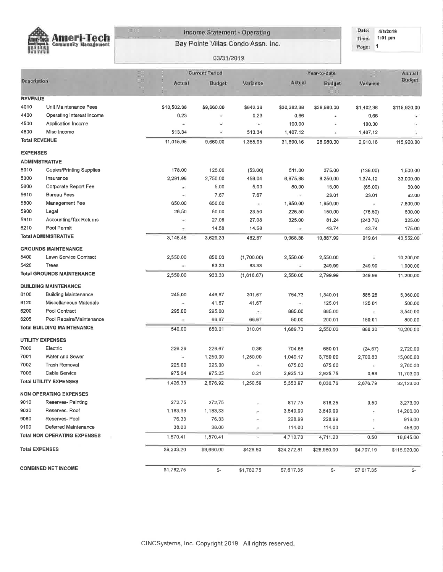

#### **Income Statement - Operating**

Bay Pointe Villas Condo Assn. Inc.

Date: 4/1/2019 Time: 1:01 pm Page: 1

#### 03/31/2019

|                       |                                     |                                   | <b>Current Period</b> |                          |                                        | Year-to-date  |                          | Annual       |
|-----------------------|-------------------------------------|-----------------------------------|-----------------------|--------------------------|----------------------------------------|---------------|--------------------------|--------------|
| Description           |                                     | Actual                            | Budget                | Variance                 | Actual                                 | <b>Budget</b> | Variance                 | Budget       |
| <b>REVENUE</b>        |                                     |                                   |                       |                          |                                        |               |                          |              |
| 4010                  | Unit Maintenance Fees               | \$10,502.38                       | \$9,660.00            | \$842.38                 | \$30,382.38                            | \$28,980.00   | \$1,402.38               | \$115,920.00 |
| 4400                  | Operating Interest Income           | 0.23                              | φ                     | 0.23                     | 0.66                                   | ×             | 0.66                     |              |
| 4500                  | Application Income                  | $\overline{\phantom{a}}$          | Ξ                     | ¥.                       | 100.00                                 | ٠             | 100.00                   |              |
| 4800                  | Misc Income                         | 513.34                            | z                     | 513.34                   | 1,407.12                               | u,            | 1,407.12                 |              |
| <b>Total REVENUE</b>  |                                     | 11,015.95                         | 9,660.00              | 1,355.95                 | 31,890.16                              | 28,980.00     | 2,910.16                 | 115,920,00   |
| <b>EXPENSES</b>       |                                     |                                   |                       |                          |                                        |               |                          |              |
| <b>ADMINISTRATIVE</b> |                                     |                                   |                       |                          |                                        |               |                          |              |
| 5010                  | <b>Copies/Printing Supplies</b>     | 178.00                            | 125,00                | (53.00)                  | 511.00                                 | 375.00        | (136.00)                 | 1,500.00     |
| 5300                  | Insurance                           | 2,291.96                          | 2,750.00              | 458.04                   | 6,875.88                               | 8,250.00      | 1,374.12                 | 33,000.00    |
| 5600                  | Corporate Report Fee                | 9)                                | 5,00                  | 5.00                     | 80.00                                  | 15.00         | (65.00)                  | 60.00        |
| 5610                  | <b>Bureau Fees</b>                  | $\left\langle \Psi \right\rangle$ | 7.67                  | 7.67                     | $\hbox{\small -}$                      | 23.01         | 23.01                    | 92.00        |
| 5800                  | Management Fee                      | 650.00                            | 650.00                | $\overline{\phantom{a}}$ | 1,950.00                               | 1,950.00      | $\bar{\phantom{a}}$      | 7,800.00     |
| 5900                  | Legal                               | 26,50                             | 50.00                 | 23.50                    | 226,50                                 | 150.00        | (76.50)                  | 600.00       |
| 5910                  | Accounting/Tax Returns              | $\bullet$                         | 27.08                 | 27.08                    | 325.00                                 | 81.24         | (243.76)                 | 325,00       |
| 6210                  | Pool Permit                         | $\overline{\phantom{a}}$          | 14.58                 | 14.58                    | $\overline{\phantom{a}}$               | 43.74         | 43.74                    | 175.00       |
|                       | <b>Total ADMINISTRATIVE</b>         | 3,146.46                          | 3,629.33              | 482.87                   | 9,968.38                               | 10,887.99     | 919,61                   | 43,552.00    |
|                       | <b>GROUNDS MAINTENANCE</b>          |                                   |                       |                          |                                        |               |                          |              |
| 5400                  | Lawn Service Contract               | 2,550.00                          | 850.00                | (1,700,00)               | 2,550.00                               | 2,550.00      | ۷                        | 10,200.00    |
| 5420                  | Trees                               | $\mathcal{A}$                     | 83.33                 | 83.33                    | C,                                     | 249.99        | 249.99                   | 1,000.00     |
|                       | <b>Total GROUNDS MAINTENANCE</b>    | 2,550.00                          | 933.33                | (1,616.67)               | 2,550.00                               | 2.799.99      | 249.99                   | 11,200.00    |
|                       | <b>BUILDING MAINTENANCE</b>         |                                   |                       |                          |                                        |               |                          |              |
| 6100                  | <b>Building Maintenance</b>         | 245.00                            | 446.67                | 201.67                   | 754.73                                 | 1,340.01      | 585,28                   | 5,360.00     |
| 6120                  | Miscellaneous Materials             |                                   | 41.67                 | 41.67                    | $\left\langle \mathbf{r}\right\rangle$ | 125,01        | 125.01                   | 500.00       |
| 6200                  | Pool Contract                       | 295.00                            | 295.00                | Ø,                       | 885.00                                 | 885.00        | $\bullet$                | 3,540.00     |
| 6205                  | Pool Repairs/Maintenance            | ×                                 | 66.67                 | 66.67                    | 50,00                                  | 200.01        | 150.01                   | 800.00       |
|                       | <b>Total BUILDING MAINTENANCE</b>   | 540.00                            | 850.01                | 310.01                   | 1,689.73                               | 2,550.03      | 860,30                   | 10,200.00    |
|                       | <b>UTILITY EXPENSES</b>             |                                   |                       |                          |                                        |               |                          |              |
| 7000                  | Electric                            | 226.29                            | 226.67                | 0.38                     | 704.68                                 | 680.01        | (24.67)                  | 2,720.00     |
| 7001                  | Water and Sewer                     | $\sim$                            | 1,250.00              | 1,250.00                 | 1,049.17                               | 3,750.00      | 2,700.83                 | 15,000.00    |
| 7002                  | <b>Trash Removal</b>                | 225.00                            | 225.00                | $\rightarrow$            | 675.00                                 | 675.00        | $\overline{\phantom{a}}$ | 2,700.00     |
| 7006                  | Cable Service                       | 975.04                            | 975.25                | 0.21                     | 2,925.12                               | 2,925.75      | 0.63                     | 11,703.00    |
|                       | <b>Total UTILITY EXPENSES</b>       | 1,426.33                          | 2,676.92              | 1,250.59                 | 5,353.97                               | 8,030.76      | 2,676.79                 | 32,123.00    |
|                       | <b>NON OPERATING EXPENSES</b>       |                                   |                       |                          |                                        |               |                          |              |
| 9010                  | Reserves- Painting                  | 272.75                            | 272,75                |                          | 817.75                                 | 818.25        | 0.50                     | 3,273.00     |
| 9030                  | Reserves-Roof                       | 1,183.33                          | 1,183.33              |                          | 3,549.99                               | 3,549.99      |                          | 14,200.00    |
| 9060                  | Reserves- Pool                      | 76.33                             | 76.33                 |                          | 228.99                                 | 228.99        |                          | 916.00       |
| 9100                  | Deferred Maintenance                | 38.00                             | 38.00                 | ÷                        | 114.00                                 | 114,00        |                          | 456.00       |
|                       | <b>Total NON OPERATING EXPENSES</b> | 1,570.41                          | 1,570.41              | ×                        | 4,710.73                               | 4,711.23      | 0.50                     | 18,845,00    |
| <b>Total EXPENSES</b> |                                     | \$9,233.20                        | \$9,660.00            | \$426.80                 | \$24,272.81                            | \$28,980.00   | \$4,707.19               | \$115,920.00 |
|                       | <b>COMBINED NET INCOME</b>          | \$1,782.75                        | \$-                   | \$1,782.75               | \$7,617.35                             | \$-           | \$7,617.35               | \$-          |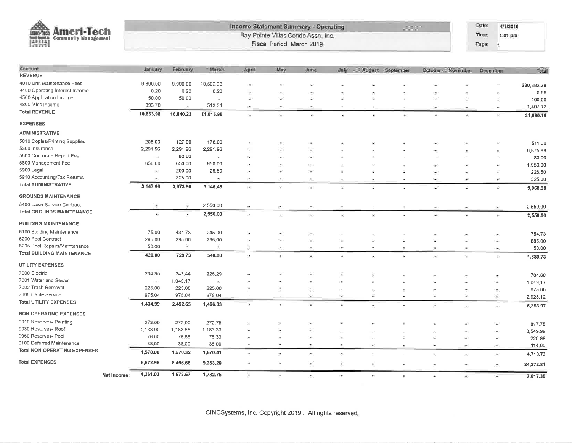

#### Income Statement Summary - Operating Bay Pointe Villas Condo Assn, Inc. Fiscal Period: March 2019

Date: 4/1/2019 Time: 1:01 pm Page: 1

| Account                           |             | January             | February                 | March                    | April                 | May                      | June                     | July      |                          | August September | October | November                 | December  | Total            |
|-----------------------------------|-------------|---------------------|--------------------------|--------------------------|-----------------------|--------------------------|--------------------------|-----------|--------------------------|------------------|---------|--------------------------|-----------|------------------|
| <b>REVENUE</b>                    |             |                     |                          |                          |                       |                          |                          |           |                          |                  |         |                          |           |                  |
| 4010 Unit Maintenance Fees        |             | 9,890.00            | 9,990.00                 | 10,502.38                |                       |                          | G.                       |           |                          |                  |         |                          |           | \$30,382.38      |
| 4400 Operating Interest Income    |             | 0.20                | 0.23                     | 0.23                     |                       |                          |                          |           |                          |                  |         |                          |           | 0.66             |
| 4500 Application Income           |             | 50.00               | 50.00                    | ų,                       | ÷,                    | У.                       | ú.                       |           |                          |                  | z       |                          |           | 100.00           |
| 4800 Misc Income                  |             | 893.78              | $\overline{\phantom{a}}$ | 513.34                   | ×.                    | $\sim$                   | $\sim$                   |           | $\overline{\phantom{a}}$ |                  |         |                          |           | 1,407.12         |
| <b>Total REVENUE</b>              |             | 10,833,98           | 10,040.23                | 11,015.95                | ×                     |                          |                          |           | ×                        | ¥                |         | G)                       |           | 31,890.16        |
| <b>EXPENSES</b>                   |             |                     |                          |                          |                       |                          |                          |           |                          |                  |         |                          |           |                  |
| <b>ADMINISTRATIVE</b>             |             |                     |                          |                          |                       |                          |                          |           |                          |                  |         |                          |           |                  |
| 5010 Copies/Printing Supplies     |             | 206.00              | 127,00                   | 178.00                   | ×                     |                          |                          |           |                          |                  |         |                          |           | 511.00           |
| 5300 Insurance                    |             | 2,291.96            | 2,291.96                 | 2,291.96                 |                       |                          |                          |           |                          |                  |         |                          |           | 6,875.88         |
| 5600 Corporate Report Fee         |             | $\bar{\phantom{a}}$ | 80,00                    | ×                        |                       |                          |                          |           |                          |                  | ×       |                          |           | 80,00            |
| 5800 Management Fee               |             | 650.00              | 650.00                   | 650.00                   |                       |                          | $\overline{\phantom{a}}$ |           |                          |                  |         |                          |           | 1,950.00         |
| 5900 Legal                        |             | $\blacksquare$      | 200.00                   | 26.50                    |                       |                          | ×                        |           |                          |                  |         |                          |           | 226.50           |
| 5910 Accounting/Tax Returns       |             |                     | 325.00                   | $\overline{\phantom{a}}$ |                       |                          | $\blacksquare$           |           | ×.                       |                  | ×.      | $\ddot{}$                | ٠         | 325.00           |
| <b>Total ADMINISTRATIVE</b>       |             | 3,147.96            | 3,673.96                 | 3,146.46                 | ÷                     | $\sim$                   | ۰                        |           |                          |                  |         |                          |           | 9,968.38         |
| <b>GROUNDS MAINTENANCE</b>        |             |                     |                          |                          |                       |                          |                          |           |                          |                  |         |                          |           |                  |
| 5400 Lawn Service Contract        |             | g,                  | $\sim$                   | 2,550.00                 |                       |                          |                          |           | ۰                        |                  |         |                          |           | 2,550.00         |
| <b>Total GROUNDS MAINTENANCE</b>  |             | ٠                   | ٠.                       | 2,550.00                 | ×                     |                          | ×                        |           | ¥                        |                  |         |                          |           | 2,550.00         |
| <b>BUILDING MAINTENANCE</b>       |             |                     |                          |                          |                       |                          |                          |           |                          |                  |         |                          |           |                  |
| 6100 Building Maintenance         |             | 75.00               | 434.73                   | 245.00                   |                       |                          |                          | z         |                          |                  |         |                          | ×         | 754.73           |
| 6200 Pool Contract                |             | 295,00              | 295.00                   | 295.00                   |                       |                          |                          |           |                          |                  |         |                          |           | 885.00           |
| 6205 Pool Repairs/Maintenance     |             | 50.00               | ÷.                       | Ξ                        |                       |                          |                          | ×         | ۰                        |                  |         |                          | ×.        | 50.00            |
| <b>Total BUILDING MAINTENANCE</b> |             | 420.00              | 729.73                   | 540,00                   | ×                     | ٠                        | ٠                        | ٠         | $\overline{\phantom{a}}$ | $\sim$           |         | ¥                        | $\ddot{}$ | 1,689.73         |
| <b>UTILITY EXPENSES</b>           |             |                     |                          |                          |                       |                          |                          |           |                          |                  |         |                          |           |                  |
| 7000 Electric                     |             | 234.95              | 243.44                   | 226.29                   |                       |                          |                          | ٠         |                          |                  |         |                          |           | 704.68           |
| 7001 Water and Sewer              |             | $\frac{1}{2}$       | 1,049.17                 | $\tilde{z}$              |                       |                          |                          | Ú.        |                          |                  |         |                          | F.<br>É.  | 1,049.17         |
| 7002 Trash Removal                |             | 225.00              | 225.00                   | 225.00                   |                       |                          |                          |           |                          |                  |         |                          |           | 675.00           |
| 7006 Cable Service                |             | 975.04              | 975.04                   | 975.04                   |                       |                          | w.                       | ×         | ¥.                       | Ψ                | ×       | S.                       | ×<br>g    | 2,925.12         |
| <b>Total UTILITY EXPENSES</b>     |             | 1,434.99            | 2,492.65                 | 1,426.33                 | ×                     |                          | ٠                        | a,        | z                        | ٠                | ٠       | رح                       | ×         | 5,353.97         |
| <b>NON OPERATING EXPENSES</b>     |             |                     |                          |                          |                       |                          |                          |           |                          |                  |         |                          |           |                  |
| 9010 Reserves- Painting           |             | 273.00              | 272.00                   | 272,75                   |                       |                          |                          |           |                          |                  |         |                          |           |                  |
| 9030 Reserves- Roof               |             | 1,183.00            | 1,183.66                 | 1,183.33                 |                       |                          |                          |           |                          |                  |         |                          | z         | 817.75           |
| 9060 Reserves- Pool               |             | 76.00               | 76.66                    | 76.33                    |                       |                          | ۰                        | ×         |                          |                  |         | $\rightarrow$            | ۰         | 3,549.99         |
| 9100 Deferred Maintenance         |             | 38,00               | 38.00                    | 38,00                    |                       |                          | ×.                       | $\sim$    |                          | ×                |         |                          | ٠         | 228.99<br>114.00 |
| Total NON OPERATING EXPENSES      |             | 1,570.00            | 1,570.32                 | 1,570.41                 | $\tilde{\phantom{a}}$ | $\overline{\phantom{a}}$ | $\overline{\phantom{a}}$ | ۰         | $\sim$<br>$\blacksquare$ | Ξ                |         | $\overline{\phantom{a}}$ | ٠<br>×    | 4,710.73         |
| <b>Total EXPENSES</b>             |             | 6,572.95            | 8,466.66                 | 9,233.20                 | Ξ                     | ч                        | $\bullet$                |           | ٠                        |                  |         |                          |           |                  |
|                                   |             |                     |                          |                          |                       |                          |                          | $\bullet$ |                          |                  |         | ۰                        | ۰         | 24,272.81        |
|                                   | Net Income: | 4,261.03            | 1,573.57                 | 1,782.75                 | Ξ                     |                          | $\sim$                   | ×.        | $\bullet$                | $\blacksquare$   | œ.      | $\tilde{\phantom{a}}$    | ٠         | 7,617.35         |